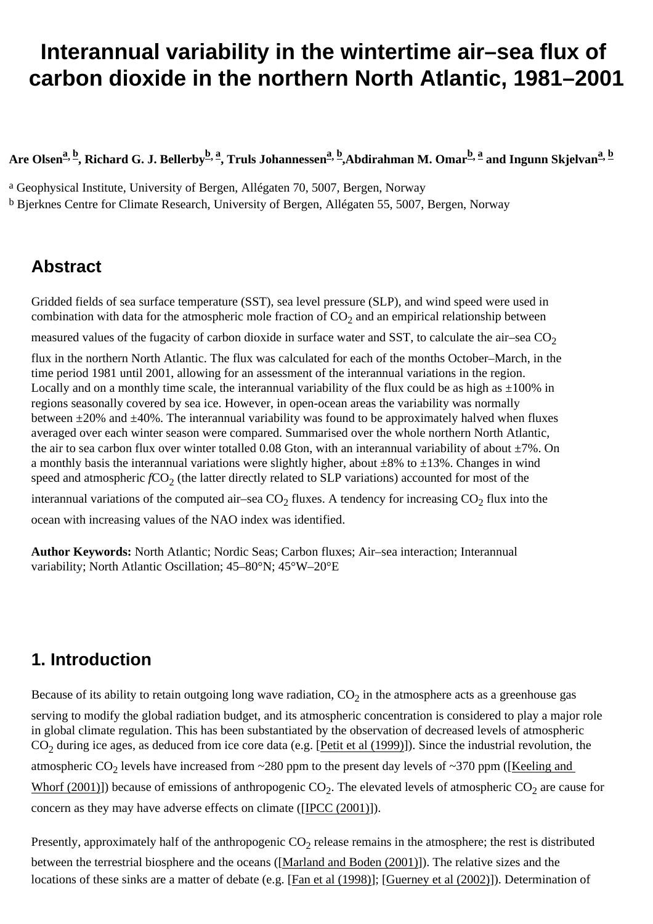# <span id="page-0-0"></span>**Interannual variability in the wintertime air–sea flux of carbon dioxide in the northern North Atlantic, 1981–2001**

Are Olsen<sup>2, b</sup>, Richard G. J. Bellerby<sup>[b,](#page-0-0) [a](#page-0-0)</sup>, Truls Johannessen<sup>2, [b](#page-0-0)</sup>,Abdirahman M. Omar<sup>[b, a](#page-0-0)</sup> and Ingunn Skjelvan<sup>2, b</sup>

a Geophysical Institute, University of Bergen, Allégaten 70, 5007, Bergen, Norway b Bjerknes Centre for Climate Research, University of Bergen, Allégaten 55, 5007, Bergen, Norway

### **Abstract**

Gridded fields of sea surface temperature (SST), sea level pressure (SLP), and wind speed were used in combination with data for the atmospheric mole fraction of  $CO<sub>2</sub>$  and an empirical relationship between

measured values of the fugacity of carbon dioxide in surface water and SST, to calculate the air–sea  $CO<sub>2</sub>$ 

flux in the northern North Atlantic. The flux was calculated for each of the months October–March, in the time period 1981 until 2001, allowing for an assessment of the interannual variations in the region. Locally and on a monthly time scale, the interannual variability of the flux could be as high as  $\pm 100\%$  in regions seasonally covered by sea ice. However, in open-ocean areas the variability was normally between  $\pm 20\%$  and  $\pm 40\%$ . The interannual variability was found to be approximately halved when fluxes averaged over each winter season were compared. Summarised over the whole northern North Atlantic, the air to sea carbon flux over winter totalled 0.08 Gton, with an interannual variability of about  $\pm 7\%$ . On a monthly basis the interannual variations were slightly higher, about  $\pm 8\%$  to  $\pm 13\%$ . Changes in wind speed and atmospheric *f*CO<sub>2</sub> (the latter directly related to SLP variations) accounted for most of the

interannual variations of the computed air–sea  $CO<sub>2</sub>$  fluxes. A tendency for increasing  $CO<sub>2</sub>$  flux into the ocean with increasing values of the NAO index was identified.

**Author Keywords:** North Atlantic; Nordic Seas; Carbon fluxes; Air–sea interaction; Interannual variability; North Atlantic Oscillation; 45–80°N; 45°W–20°E

## **1. Introduction**

Because of its ability to retain outgoing long wave radiation,  $CO<sub>2</sub>$  in the atmosphere acts as a greenhouse gas serving to modify the global radiation budget, and its atmospheric concentration is considered to play a major role in global climate regulation. This has been substantiated by the observation of decreased levels of atmospheric  $CO<sub>2</sub>$  during ice ages, as deduced from ice core data (e.g. [[Petit et al \(1999\)](#page-0-0)]). Since the industrial revolution, the atmospheric  $CO_2$  levels have increased from ~280 ppm to the present day levels of ~370 ppm ([Keeling and [Whorf \(2001\)](#page-0-0)]) because of emissions of anthropogenic  $CO_2$ . The elevated levels of atmospheric  $CO_2$  are cause for concern as they may have adverse effects on climate ([\[IPCC \(2001\)\]](#page-0-0)).

Presently, approximately half of the anthropogenic  $CO_2$  release remains in the atmosphere; the rest is distributed between the terrestrial biosphere and the oceans ([\[Marland and Boden \(2001\)](#page-0-0)]). The relative sizes and the locations of these sinks are a matter of debate (e.g. [[Fan et al \(1998\)](#page-0-0)]; [[Guerney et al \(2002\)\]](#page-0-0)). Determination of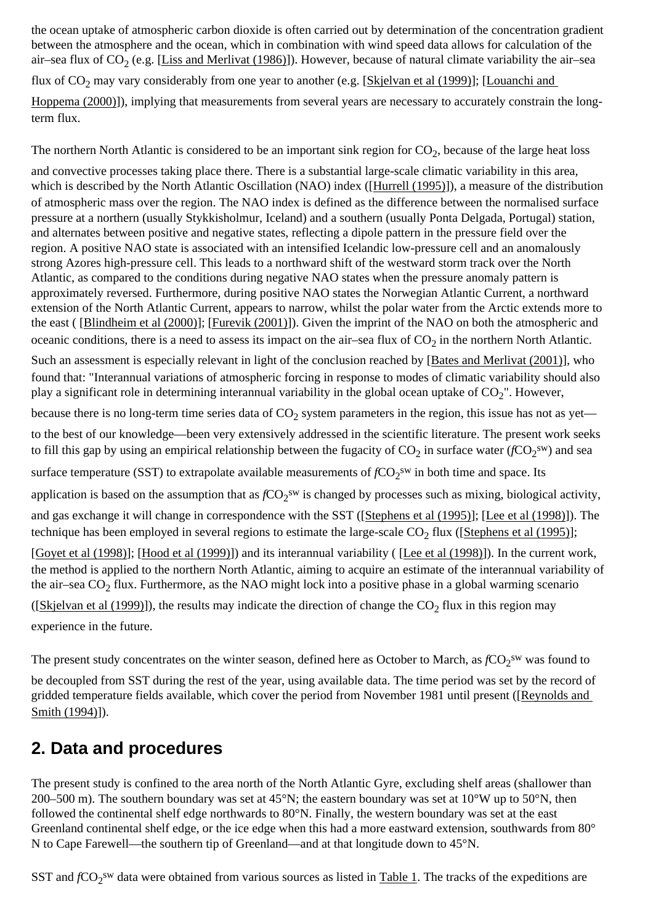the ocean uptake of atmospheric carbon dioxide is often carried out by determination of the concentration gradient between the atmosphere and the ocean, which in combination with wind speed data allows for calculation of the air–sea flux of  $CO_2$  (e.g. [\[Liss and Merlivat \(1986\)\]](#page-0-0)). However, because of natural climate variability the air–sea flux of CO<sub>2</sub> may vary considerably from one year to another (e.g. [\[Skjelvan et al \(1999\)\]](#page-0-0); [Louanchi and [Hoppema \(2000\)](#page-0-0)]), implying that measurements from several years are necessary to accurately constrain the longterm flux.

The northern North Atlantic is considered to be an important sink region for  $CO<sub>2</sub>$ , because of the large heat loss

and convective processes taking place there. There is a substantial large-scale climatic variability in this area, which is described by the North Atlantic Oscillation (NAO) index ([[Hurrell \(1995\)](#page-0-0)]), a measure of the distribution of atmospheric mass over the region. The NAO index is defined as the difference between the normalised surface pressure at a northern (usually Stykkisholmur, Iceland) and a southern (usually Ponta Delgada, Portugal) station, and alternates between positive and negative states, reflecting a dipole pattern in the pressure field over the region. A positive NAO state is associated with an intensified Icelandic low-pressure cell and an anomalously strong Azores high-pressure cell. This leads to a northward shift of the westward storm track over the North Atlantic, as compared to the conditions during negative NAO states when the pressure anomaly pattern is approximately reversed. Furthermore, during positive NAO states the Norwegian Atlantic Current, a northward extension of the North Atlantic Current, appears to narrow, whilst the polar water from the Arctic extends more to the east ( [\[Blindheim et al \(2000\)\]](#page-0-0); [\[Furevik \(2001\)](#page-0-0)]). Given the imprint of the NAO on both the atmospheric and oceanic conditions, there is a need to assess its impact on the air–sea flux of  $CO<sub>2</sub>$  in the northern North Atlantic. Such an assessment is especially relevant in light of the conclusion reached by [[Bates and Merlivat \(2001\)\]](#page-0-0), who found that: "Interannual variations of atmospheric forcing in response to modes of climatic variability should also play a significant role in determining interannual variability in the global ocean uptake of  $CO<sub>2</sub>$ ". However, because there is no long-term time series data of  $CO<sub>2</sub>$  system parameters in the region, this issue has not as yet to the best of our knowledge—been very extensively addressed in the scientific literature. The present work seeks to fill this gap by using an empirical relationship between the fugacity of  $CO_2$  in surface water ( $fCO_2$ <sup>sw</sup>) and sea surface temperature (SST) to extrapolate available measurements of  $fCO_2$ <sup>sw</sup> in both time and space. Its application is based on the assumption that as  $fCO_2$ <sup>sw</sup> is changed by processes such as mixing, biological activity, and gas exchange it will change in correspondence with the SST ([[Stephens et al \(1995\)](#page-0-0)]; [[Lee et al \(1998\)](#page-0-0)]). The technique has been employed in several regions to estimate the large-scale  $CO<sub>2</sub>$  flux ([[Stephens et al \(1995\)](#page-0-0)]; [\[Goyet et al \(1998\)\]](#page-0-0); [\[Hood et al \(1999\)\]](#page-0-0)) and its interannual variability ( [\[Lee et al \(1998\)\]](#page-0-0)). In the current work, the method is applied to the northern North Atlantic, aiming to acquire an estimate of the interannual variability of the air–sea  $CO<sub>2</sub>$  flux. Furthermore, as the NAO might lock into a positive phase in a global warming scenario ([\[Skjelvan et al \(1999\)](#page-0-0)]), the results may indicate the direction of change the  $CO<sub>2</sub>$  flux in this region may

experience in the future.

The present study concentrates on the winter season, defined here as October to March, as  $fCO_2$ <sup>sw</sup> was found to

be decoupled from SST during the rest of the year, using available data. The time period was set by the record of gridded temperature fields available, which cover the period from November 1981 until present ([[Reynolds and](#page-0-0) [Smith \(1994\)\]](#page-0-0)).

### **2. Data and procedures**

The present study is confined to the area north of the North Atlantic Gyre, excluding shelf areas (shallower than 200–500 m). The southern boundary was set at  $45^{\circ}$ N; the eastern boundary was set at  $10^{\circ}$ W up to 50 $^{\circ}$ N, then followed the continental shelf edge northwards to 80°N. Finally, the western boundary was set at the east Greenland continental shelf edge, or the ice edge when this had a more eastward extension, southwards from 80° N to Cape Farewell—the southern tip of Greenland—and at that longitude down to 45°N.

SST and *f*CO<sub>2</sub><sup>sw</sup> data were obtained from various sources as listed in [Table 1](#page-0-0). The tracks of the expeditions are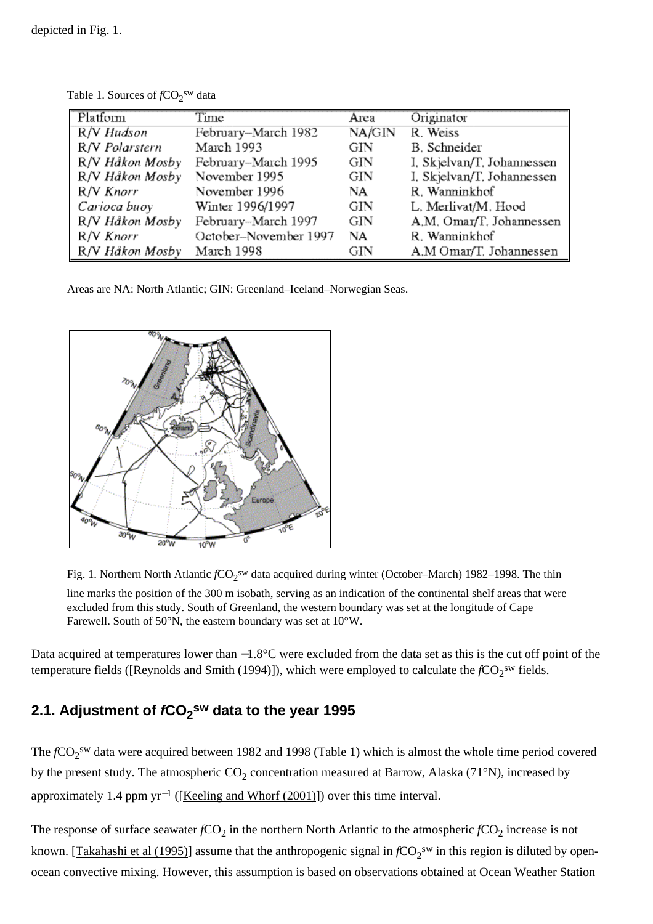| Platform        | Time                  | Area   | Originator                 |
|-----------------|-----------------------|--------|----------------------------|
| R/V Hudson      | February-March 1982   | NA/GIN | R. Weiss                   |
| R/V Polarstern  | March 1993            | GIN    | B. Schneider               |
| R/V Håkon Mosby | February-March 1995   | GIN    | I. Skjelvan/T. Johannessen |
| R/V Håkon Mosby | November 1995         | GIN    | I. Skjelvan/T. Johannessen |
| R/V Knorr       | November 1996         | NA     | R. Wanninkhof              |
| Carioca buoy    | Winter 1996/1997      | GIN    | L. Merlivat/M. Hood        |
| R/V Håkon Mosby | February-March 1997   | GIN    | A.M. Omar/T. Johannessen   |
| R/V Knorr       | October-November 1997 | NA     | R. Wanninkhof              |
| R/V Håkon Mosby | March 1998            | GIN    | A.M Omar/T. Johannessen    |

Table 1. Sources of  $fCO_2^{sw}$  data

Areas are NA: North Atlantic; GIN: Greenland–Iceland–Norwegian Seas.



Fig. 1. Northern North Atlantic  $fCO_2$ <sup>sw</sup> data acquired during winter (October–March) 1982–1998. The thin line marks the position of the 300 m isobath, serving as an indication of the continental shelf areas that were excluded from this study. South of Greenland, the western boundary was set at the longitude of Cape Farewell. South of 50°N, the eastern boundary was set at 10°W.

Data acquired at temperatures lower than −1.8°C were excluded from the data set as this is the cut off point of the temperature fields ([Reynolds and Smith  $(1994)$ ]), which were employed to calculate the  $fCO<sub>2</sub><sup>sw</sup>$  fields.

### **2.1. Adjustment of fCO2 sw data to the year 1995**

The *f*CO<sub>2</sub><sup>sw</sup> data were acquired between 1982 and 1998 ([Table 1](#page-0-0)) which is almost the whole time period covered by the present study. The atmospheric  $CO_2$  concentration measured at Barrow, Alaska (71°N), increased by approximately 1.4 ppm yr−1 ([[Keeling and Whorf \(2001\)](#page-0-0)]) over this time interval.

The response of surface seawater  $fCO_2$  in the northern North Atlantic to the atmospheric  $fCO_2$  increase is not known. [[Takahashi et al \(1995\)](#page-0-0)] assume that the anthropogenic signal in  $fCO_2<sup>sw</sup>$  in this region is diluted by openocean convective mixing. However, this assumption is based on observations obtained at Ocean Weather Station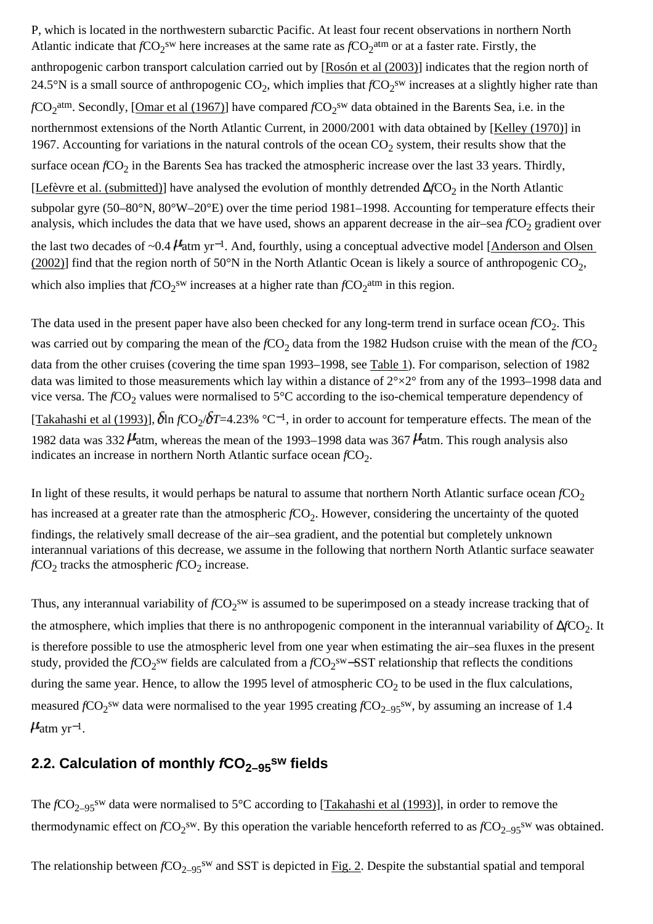P, which is located in the northwestern subarctic Pacific. At least four recent observations in northern North Atlantic indicate that  $fCO_2$ <sup>sw</sup> here increases at the same rate as  $fCO_2$ <sup>atm</sup> or at a faster rate. Firstly, the anthropogenic carbon transport calculation carried out by [[Rosón et al \(2003\)](#page-0-0)] indicates that the region north of 24.5°N is a small source of anthropogenic  $CO_2$ , which implies that  $fCO_2$ <sup>sw</sup> increases at a slightly higher rate than *f*CO<sub>2</sub><sup>atm</sup>. Secondly, [\[Omar et al \(1967\)\]](#page-0-0) have compared *f*CO<sub>2</sub><sup>sw</sup> data obtained in the Barents Sea, i.e. in the northernmost extensions of the North Atlantic Current, in 2000/2001 with data obtained by [\[Kelley \(1970\)\]](#page-0-0) in 1967. Accounting for variations in the natural controls of the ocean  $CO<sub>2</sub>$  system, their results show that the surface ocean *f*CO<sub>2</sub> in the Barents Sea has tracked the atmospheric increase over the last 33 years. Thirdly, [\[Lefèvre et al. \(submitted\)](#page-0-0)] have analysed the evolution of monthly detrended ∆*f*CO<sub>2</sub> in the North Atlantic subpolar gyre (50–80°N, 80°W–20°E) over the time period 1981–1998. Accounting for temperature effects their analysis, which includes the data that we have used, shows an apparent decrease in the air–sea  $fCO_2$  gradient over the last two decades of ~0.4  $\mu$ <sup>1</sup> atm yr<sup>-1</sup>. And, fourthly, using a conceptual advective model [Anderson and Olsen [\(2002\)\]](#page-0-0) find that the region north of 50 $\degree$ N in the North Atlantic Ocean is likely a source of anthropogenic CO<sub>2</sub>, which also implies that  $fCO_2$ <sup>sw</sup> increases at a higher rate than  $fCO_2$ <sup>atm</sup> in this region.

The data used in the present paper have also been checked for any long-term trend in surface ocean *f*CO<sub>2</sub>. This was carried out by comparing the mean of the  $fCO<sub>2</sub>$  data from the 1982 Hudson cruise with the mean of the  $fCO<sub>2</sub>$ data from the other cruises (covering the time span 1993–1998, see [Table 1\)](#page-0-0). For comparison, selection of 1982 data was limited to those measurements which lay within a distance of 2°×2° from any of the 1993–1998 data and vice versa. The *f*CO<sub>2</sub> values were normalised to 5°C according to the iso-chemical temperature dependency of [\[Takahashi et al \(1993\)](#page-0-0)],  $\delta$ ln *f*CO<sub>2</sub>/ $\delta$ *T*=4.23% °C<sup>−1</sup>, in order to account for temperature effects. The mean of the 1982 data was 332  $\mu$  atm, whereas the mean of the 1993–1998 data was 367  $\mu$  atm. This rough analysis also indicates an increase in northern North Atlantic surface ocean *f*CO<sub>2</sub>.

In light of these results, it would perhaps be natural to assume that northern North Atlantic surface ocean  $fCO<sub>2</sub>$ has increased at a greater rate than the atmospheric *f*CO<sub>2</sub>. However, considering the uncertainty of the quoted findings, the relatively small decrease of the air–sea gradient, and the potential but completely unknown interannual variations of this decrease, we assume in the following that northern North Atlantic surface seawater  $fCO<sub>2</sub>$  tracks the atmospheric  $fCO<sub>2</sub>$  increase.

Thus, any interannual variability of  $fCO_2$ <sup>sw</sup> is assumed to be superimposed on a steady increase tracking that of the atmosphere, which implies that there is no anthropogenic component in the interannual variability of ∆*f*CO<sub>2</sub>. It is therefore possible to use the atmospheric level from one year when estimating the air–sea fluxes in the present study, provided the *f*CO<sub>2</sub><sup>sw</sup> fields are calculated from a *f*CO<sub>2</sub><sup>sw</sup>−SST relationship that reflects the conditions during the same year. Hence, to allow the 1995 level of atmospheric  $CO<sub>2</sub>$  to be used in the flux calculations, measured  $fCO_2$ <sup>sw</sup> data were normalised to the year 1995 creating  $fCO_{2-95}$ <sup>sw</sup>, by assuming an increase of 1.4  $\mu_{\text{atm yr}^{-1}}$ .

#### 2.2. Calculation of monthly  $fCO_{2-95}$ <sup>sw</sup> fields

The *f*CO<sub>2–95</sub><sup>sw</sup> data were normalised to 5°C according to [\[Takahashi et al \(1993\)\]](#page-0-0), in order to remove the thermodynamic effect on  $fCO_2^{sw}$ . By this operation the variable henceforth referred to as  $fCO_{2-95}^{sw}$  was obtained.

The relationship between  $fCO_{2-95}$ <sup>sw</sup> and SST is depicted in [Fig. 2.](#page-0-0) Despite the substantial spatial and temporal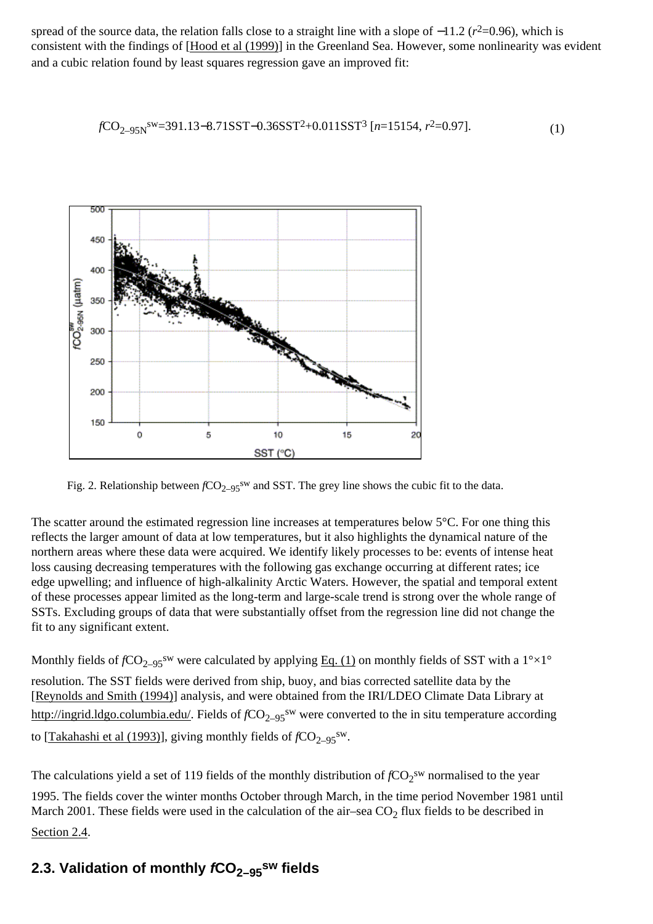spread of the source data, the relation falls close to a straight line with a slope of −11.2 ( $r^2$ =0.96), which is consistent with the findings of [\[Hood et al \(1999\)\]](#page-0-0) in the Greenland Sea. However, some nonlinearity was evident and a cubic relation found by least squares regression gave an improved fit:

$$
fCO_{2-95N}^{sw} = 391.13 - 8.71SST - 0.36SST^2 + 0.011SST^3 [n = 15154, r^2 = 0.97].
$$
 (1)



Fig. 2. Relationship between  $fCO_{2-95}$ <sup>sw</sup> and SST. The grey line shows the cubic fit to the data.

The scatter around the estimated regression line increases at temperatures below 5°C. For one thing this reflects the larger amount of data at low temperatures, but it also highlights the dynamical nature of the northern areas where these data were acquired. We identify likely processes to be: events of intense heat loss causing decreasing temperatures with the following gas exchange occurring at different rates; ice edge upwelling; and influence of high-alkalinity Arctic Waters. However, the spatial and temporal extent of these processes appear limited as the long-term and large-scale trend is strong over the whole range of SSTs. Excluding groups of data that were substantially offset from the regression line did not change the fit to any significant extent.

Monthly fields of  $fCO_{2-95}$ <sup>sw</sup> were calculated by applying [Eq. \(1\)](#page-0-0) on monthly fields of SST with a 1<sup>o</sup> $\times$ 1<sup>o</sup> resolution. The SST fields were derived from ship, buoy, and bias corrected satellite data by the [\[Reynolds and Smith \(1994\)\]](#page-0-0) analysis, and were obtained from the IRI/LDEO Climate Data Library at [http://ingrid.ldgo.columbia.edu/.](http://www.sciencedirect.com/science?_ob=RedirectURL&_method=externObjLink&_locator=url&_cdi=6034&_plusSign=%2B&_targetURL=http%253A%252F%252Fingrid.ldgo.columbia.edu%252F) Fields of *f*CO<sub>2–95</sub><sup>sw</sup> were converted to the in situ temperature according to [[Takahashi et al \(1993\)](#page-0-0)], giving monthly fields of  $fCO_{2-95}$ <sup>sw</sup>.

The calculations yield a set of 119 fields of the monthly distribution of  $fCO_2^{\text{sw}}$  normalised to the year 1995. The fields cover the winter months October through March, in the time period November 1981 until March 2001. These fields were used in the calculation of the air–sea  $CO<sub>2</sub>$  flux fields to be described in [Section 2.4.](#page-0-0)

#### **2.3. Validation of monthly**  $fCO_{2-95}$ **sw fields**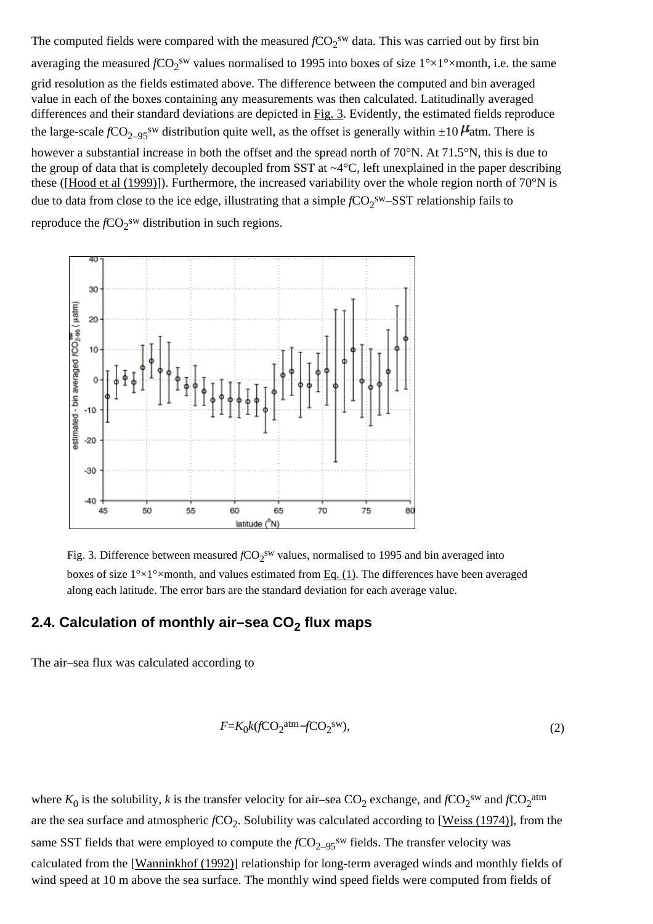The computed fields were compared with the measured  $fCO_2$ <sup>sw</sup> data. This was carried out by first bin averaging the measured  $fCO_2$ <sup>sw</sup> values normalised to 1995 into boxes of size  $1^{\circ} \times 1^{\circ} \times$ month, i.e. the same grid resolution as the fields estimated above. The difference between the computed and bin averaged value in each of the boxes containing any measurements was then calculated. Latitudinally averaged differences and their standard deviations are depicted in [Fig. 3.](#page-0-0) Evidently, the estimated fields reproduce the large-scale  $fCO_{2-95}$ <sup>sw</sup> distribution quite well, as the offset is generally within  $\pm 10$  *H*atm. There is however a substantial increase in both the offset and the spread north of 70°N. At 71.5°N, this is due to the group of data that is completely decoupled from SST at ~4°C, left unexplained in the paper describing these ([\[Hood et al \(1999\)](#page-0-0)]). Furthermore, the increased variability over the whole region north of 70°N is due to data from close to the ice edge, illustrating that a simple  $fCO_2^{sw}$ -SST relationship fails to

reproduce the  $fCO_2$ <sup>sw</sup> distribution in such regions.



Fig. 3. Difference between measured  $fCO_2$ <sup>sw</sup> values, normalised to 1995 and bin averaged into boxes of size  $1^{\circ} \times 1^{\circ} \times$ month, and values estimated from [Eq. \(1\)](#page-0-0). The differences have been averaged along each latitude. The error bars are the standard deviation for each average value.

#### 2.4. Calculation of monthly air–sea CO<sub>2</sub> flux maps

The air–sea flux was calculated according to

$$
F = K_0 k (f \text{CO}_2^{\text{atm}} - f \text{CO}_2^{\text{sw}}),\tag{2}
$$

where  $K_0$  is the solubility, k is the transfer velocity for air–sea  $CO_2$  exchange, and  $fCO_2$ <sup>sw</sup> and  $fCO_2$ <sup>atm</sup> are the sea surface and atmospheric *f*CO<sub>2</sub>. Solubility was calculated according to [[Weiss \(1974\)](#page-0-0)], from the same SST fields that were employed to compute the *f*CO<sub>2–95</sub><sup>sw</sup> fields. The transfer velocity was calculated from the [\[Wanninkhof \(1992\)](#page-0-0)] relationship for long-term averaged winds and monthly fields of wind speed at 10 m above the sea surface. The monthly wind speed fields were computed from fields of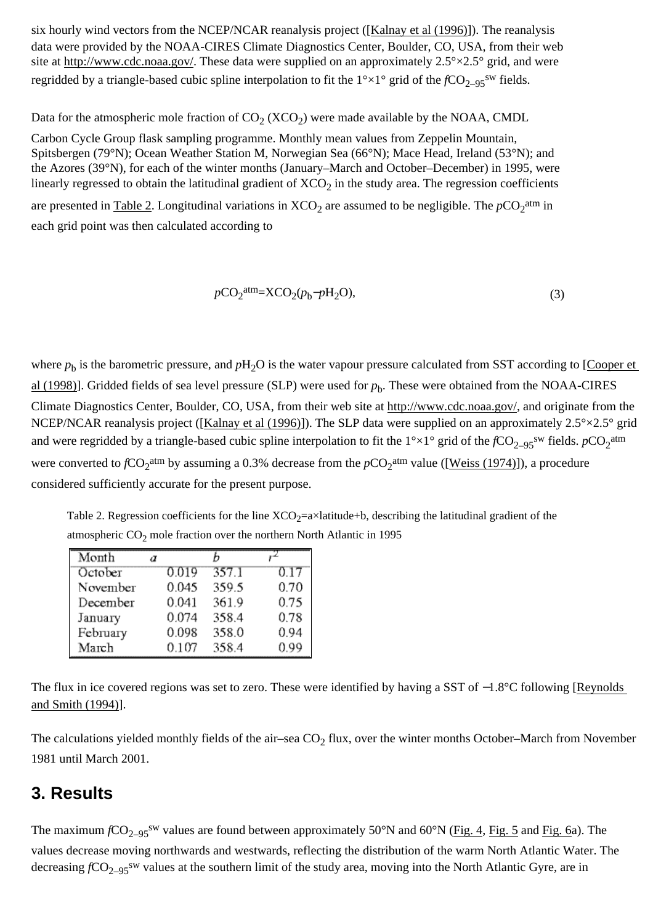six hourly wind vectors from the NCEP/NCAR reanalysis project ([[Kalnay et al \(1996\)](#page-0-0)]). The reanalysis data were provided by the NOAA-CIRES Climate Diagnostics Center, Boulder, CO, USA, from their web site at [http://www.cdc.noaa.gov/](http://www.sciencedirect.com/science?_ob=RedirectURL&_method=externObjLink&_locator=url&_cdi=6034&_plusSign=%2B&_targetURL=http%253A%252F%252Fwww.cdc.noaa.gov%252F). These data were supplied on an approximately  $2.5^{\circ} \times 2.5^{\circ}$  grid, and were regridded by a triangle-based cubic spline interpolation to fit the  $1^{\circ} \times 1^{\circ}$  grid of the  $fCO_{2-95}$ <sup>sw</sup> fields.

Data for the atmospheric mole fraction of  $CO_2$  (XCO<sub>2</sub>) were made available by the NOAA, CMDL

Carbon Cycle Group flask sampling programme. Monthly mean values from Zeppelin Mountain, Spitsbergen (79°N); Ocean Weather Station M, Norwegian Sea (66°N); Mace Head, Ireland (53°N); and the Azores (39°N), for each of the winter months (January–March and October–December) in 1995, were linearly regressed to obtain the latitudinal gradient of  $XCO<sub>2</sub>$  in the study area. The regression coefficients are presented in  $Table 2$ . Longitudinal variations in  $XCO_2$  are assumed to be negligible. The  $pCO_2^{\text{atm}}$  in each grid point was then calculated according to

$$
pCO2 atm = XCO2(pb-pH2O),
$$
\n(3)

where  $p_b$  is the barometric pressure, and  $pH_2O$  is the water vapour pressure calculated from SST according to [[Cooper et](#page-0-0) [al \(1998\)\]](#page-0-0). Gridded fields of sea level pressure (SLP) were used for  $p_b$ . These were obtained from the NOAA-CIRES Climate Diagnostics Center, Boulder, CO, USA, from their web site at [http://www.cdc.noaa.gov/,](http://www.sciencedirect.com/science?_ob=RedirectURL&_method=externObjLink&_locator=url&_cdi=6034&_plusSign=%2B&_targetURL=http%253A%252F%252Fwww.cdc.noaa.gov%252F) and originate from the NCEP/NCAR reanalysis project ([[Kalnay et al \(1996\)](#page-0-0)]). The SLP data were supplied on an approximately 2.5°×2.5° grid and were regridded by a triangle-based cubic spline interpolation to fit the  $1^{\circ}\times1^{\circ}$  grid of the  $fCO_{2-95}$ <sup>sw</sup> fields.  $pCO_2$ <sup>atm</sup> were converted to  $fCO_2$ <sup>atm</sup> by assuming a 0.3% decrease from the  $pCO_2$ <sup>atm</sup> value ([\[Weiss \(1974\)](#page-0-0)]), a procedure considered sufficiently accurate for the present purpose.

Table 2. Regression coefficients for the line  $XCO_2=a\times$ latitude+b, describing the latitudinal gradient of the atmospheric  $CO<sub>2</sub>$  mole fraction over the northern North Atlantic in 1995

| Month    | α |       |       | n alla |
|----------|---|-------|-------|--------|
| October  |   | 0.019 | 357.1 | 0.17   |
| November |   | 0.045 | 359.5 | 0.70   |
| December |   | 0.041 | 361.9 | 0.75   |
| January  |   | 0.074 | 358.4 | 0.78   |
| February |   | 0.098 | 358.0 | 0.94   |
| March    |   | 0.107 | 358.4 | 0.99   |

The flux in ice covered regions was set to zero. These were identified by having a SST of −1.8°C following [\[Reynolds](#page-0-0) [and Smith \(1994\)](#page-0-0)].

The calculations yielded monthly fields of the air–sea  $CO<sub>2</sub>$  flux, over the winter months October–March from November 1981 until March 2001.

### **3. Results**

The maximum  $fCO_{2-95}$ <sup>sw</sup> values are found between approximately 50°N and 60°N [\(Fig. 4, Fig. 5](#page-0-0) and [Fig. 6a](#page-0-0)). The values decrease moving northwards and westwards, reflecting the distribution of the warm North Atlantic Water. The decreasing *f*CO<sub>2–95</sub><sup>sw</sup> values at the southern limit of the study area, moving into the North Atlantic Gyre, are in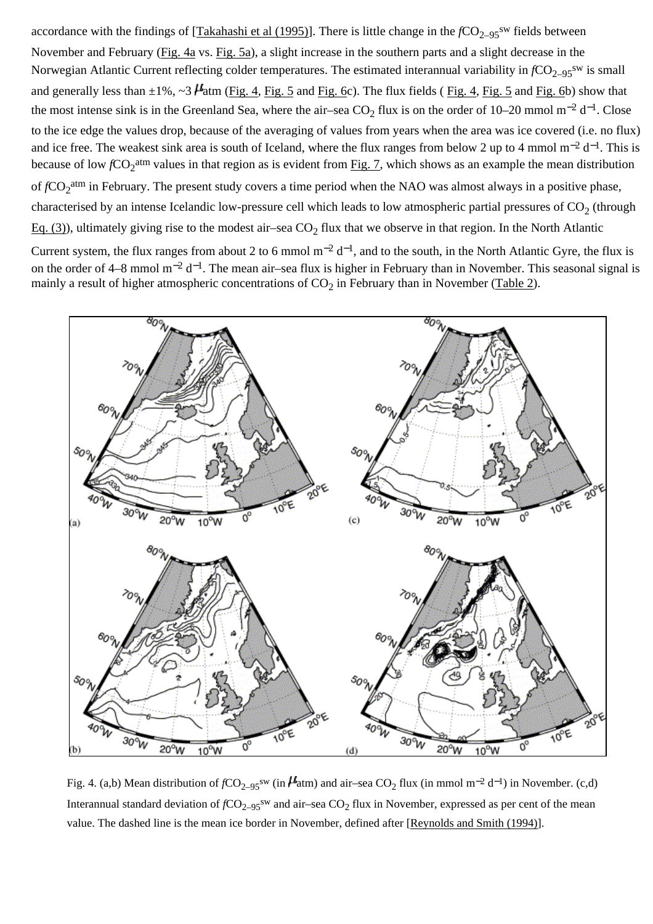accordance with the findings of [[Takahashi et al \(1995\)](#page-0-0)]. There is little change in the  $fCO_{2-95}$ <sup>sw</sup> fields between November and February ([Fig. 4a](#page-0-0) vs. [Fig. 5a\)](#page-0-0), a slight increase in the southern parts and a slight decrease in the Norwegian Atlantic Current reflecting colder temperatures. The estimated interannual variability in  $fCO_{2-95}$ <sup>sw</sup> is small and generally less than  $\pm 1\%$ ,  $\sim 3$   $\mu$  atm ([Fig. 4](#page-0-0), [Fig. 5](#page-0-0) and [Fig. 6](#page-0-0)c). The flux fields (Fig. 4, Fig. 5 and [Fig. 6b](#page-0-0)) show that the most intense sink is in the Greenland Sea, where the air–sea CO<sub>2</sub> flux is on the order of 10–20 mmol m<sup>-2</sup> d<sup>-1</sup>. Close to the ice edge the values drop, because of the averaging of values from years when the area was ice covered (i.e. no flux) and ice free. The weakest sink area is south of Iceland, where the flux ranges from below 2 up to 4 mmol m−2 d−1. This is because of low  $fCO_2$ <sup>atm</sup> values in that region as is evident from [Fig. 7](#page-0-0), which shows as an example the mean distribution of  $fCO_2$ <sup>atm</sup> in February. The present study covers a time period when the NAO was almost always in a positive phase, characterised by an intense Icelandic low-pressure cell which leads to low atmospheric partial pressures of  $CO<sub>2</sub>$  (through [Eq. \(3\)](#page-0-0)), ultimately giving rise to the modest air–sea  $CO<sub>2</sub>$  flux that we observe in that region. In the North Atlantic Current system, the flux ranges from about 2 to 6 mmol m<sup>-2</sup> d<sup>-1</sup>, and to the south, in the North Atlantic Gyre, the flux is on the order of 4–8 mmol m−2 d−1. The mean air–sea flux is higher in February than in November. This seasonal signal is



Fig. 4. (a,b) Mean distribution of *f*CO<sub>2–95</sub><sup>sw</sup> (in  $\mu$ atm) and air–sea CO<sub>2</sub> flux (in mmol m<sup>-2</sup> d<sup>-1</sup>) in November. (c,d) Interannual standard deviation of  $fCO_{2-95}$ <sup>sw</sup> and air–sea  $CO_2$  flux in November, expressed as per cent of the mean value. The dashed line is the mean ice border in November, defined after [[Reynolds and Smith \(1994\)\]](#page-0-0).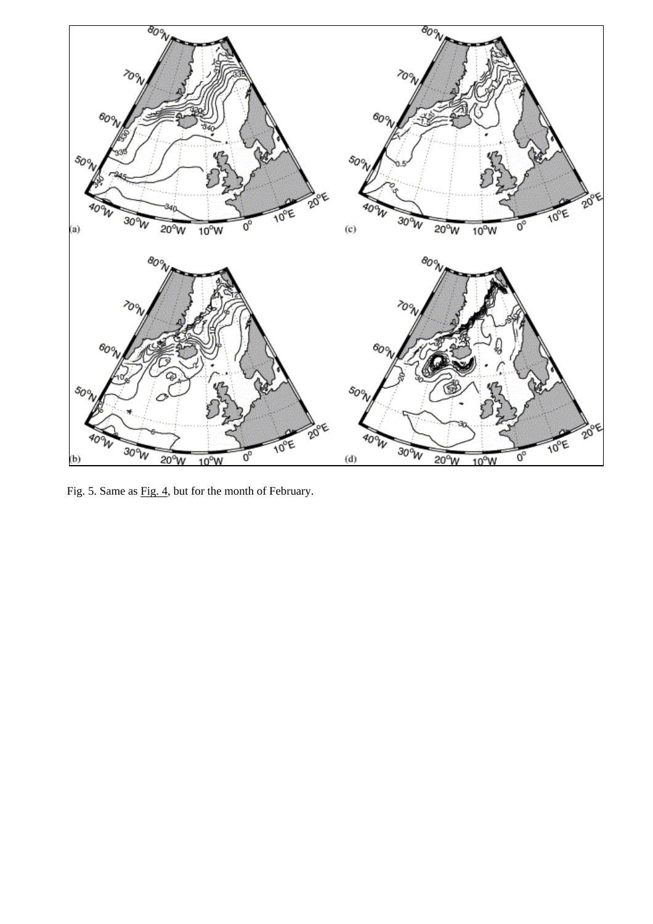

Fig. 5. Same as <u>Fig. 4</u>, but for the month of February.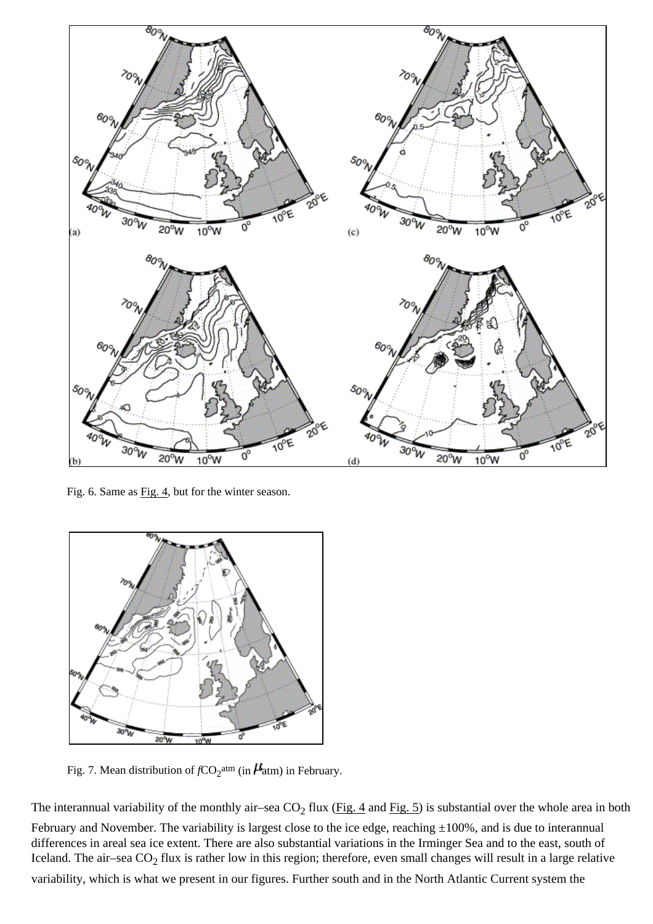

Fig. 6. Same as [Fig. 4,](#page-0-0) but for the winter season.



Fig. 7. Mean distribution of  $fCO_2^{\text{atm}}$  (in  $\mu$ <sup>a</sup>tm) in February.

The interannual variability of the monthly air–sea  $CO_2$  flux [\(Fig. 4](#page-0-0) and [Fig. 5\)](#page-0-0) is substantial over the whole area in both February and November. The variability is largest close to the ice edge, reaching  $\pm 100\%$ , and is due to interannual differences in areal sea ice extent. There are also substantial variations in the Irminger Sea and to the east, south of Iceland. The air–sea  $CO_2$  flux is rather low in this region; therefore, even small changes will result in a large relative variability, which is what we present in our figures. Further south and in the North Atlantic Current system the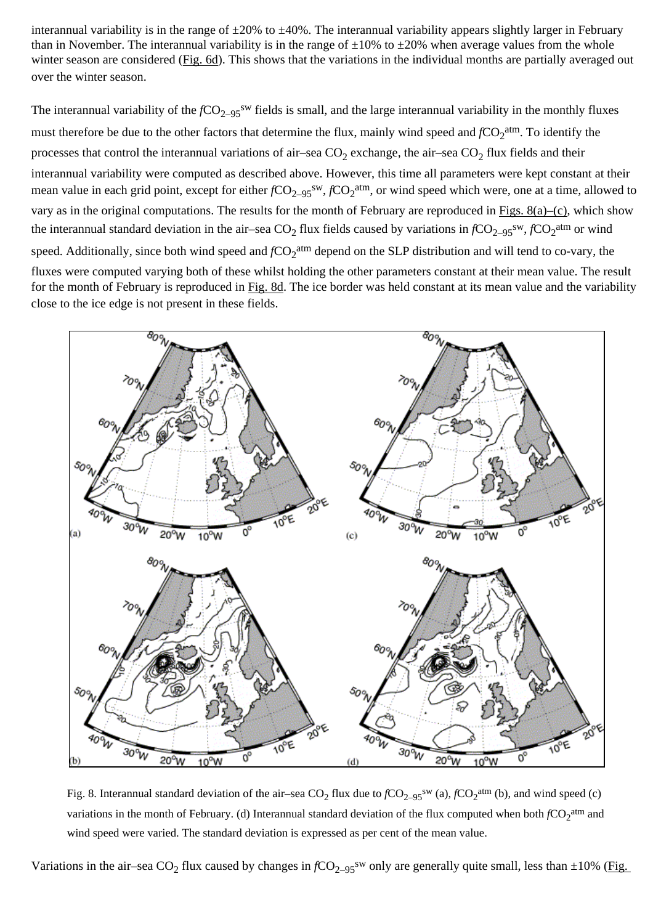interannual variability is in the range of  $\pm 20\%$  to  $\pm 40\%$ . The interannual variability appears slightly larger in February than in November. The interannual variability is in the range of  $\pm 10\%$  to  $\pm 20\%$  when average values from the whole winter season are considered [\(Fig. 6d\)](#page-0-0). This shows that the variations in the individual months are partially averaged out over the winter season.

The interannual variability of the  $fCO_{2-95}$ <sup>sw</sup> fields is small, and the large interannual variability in the monthly fluxes must therefore be due to the other factors that determine the flux, mainly wind speed and  $fCO_2^{\text{atm}}$ . To identify the processes that control the interannual variations of air–sea  $CO_2$  exchange, the air–sea  $CO_2$  flux fields and their interannual variability were computed as described above. However, this time all parameters were kept constant at their mean value in each grid point, except for either  $fCO_{2-95}$ <sup>sw</sup>,  $fCO_2$ <sup>atm</sup>, or wind speed which were, one at a time, allowed to vary as in the original computations. The results for the month of February are reproduced in Figs.  $8(a)$ –(c), which show the interannual standard deviation in the air–sea  $CO_2$  flux fields caused by variations in  $fCO_{2-95}$ <sup>sw</sup>,  $fCO_2$ <sup>atm</sup> or wind speed. Additionally, since both wind speed and  $fCO_2$ <sup>atm</sup> depend on the SLP distribution and will tend to co-vary, the fluxes were computed varying both of these whilst holding the other parameters constant at their mean value. The result for the month of February is reproduced in [Fig. 8d](#page-0-0). The ice border was held constant at its mean value and the variability close to the ice edge is not present in these fields.



Fig. 8. Interannual standard deviation of the air–sea  $CO_2$  flux due to  $fCO_{2-95}$ <sup>sw</sup> (a),  $fCO_2$ <sup>atm</sup> (b), and wind speed (c) variations in the month of February. (d) Interannual standard deviation of the flux computed when both  $fCO_2$ <sup>atm</sup> and wind speed were varied. The standard deviation is expressed as per cent of the mean value.

Variations in the air–sea CO<sub>2</sub> flux caused by changes in  $fCO_{2-95}$ <sup>sw</sup> only are generally quite small, less than  $\pm 10\%$  ([Fig.](#page-0-0)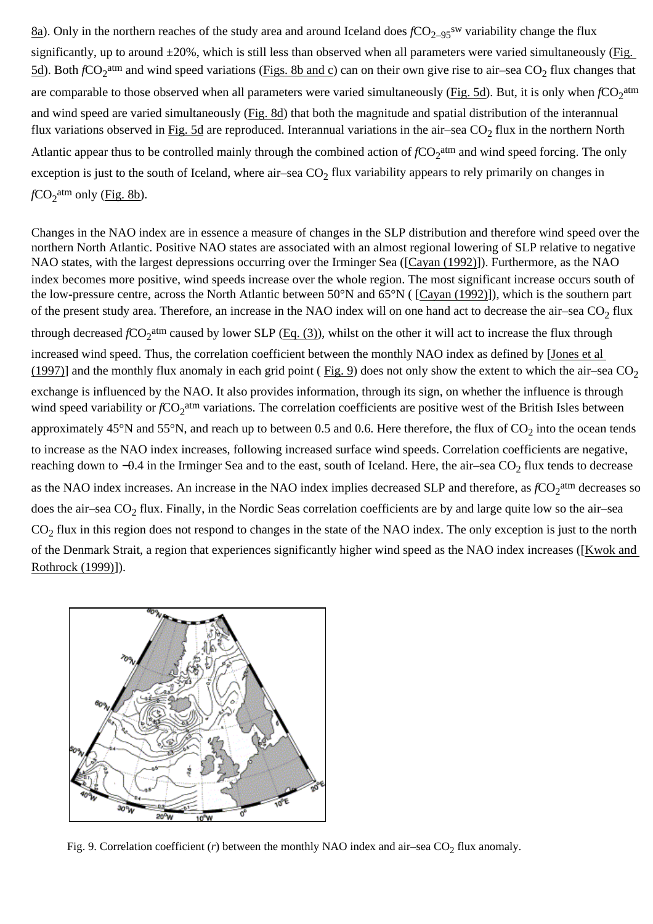[8a](#page-0-0)). Only in the northern reaches of the study area and around Iceland does  $fCO_{2-95}$ <sup>sw</sup> variability change the flux significantly, up to around  $\pm 20\%$ , which is still less than observed when all parameters were varied simultaneously (Fig. [5d\)](#page-0-0). Both  $fCO_2$ <sup>atm</sup> and wind speed variations ([Figs. 8b and c\)](#page-0-0) can on their own give rise to air–sea CO<sub>2</sub> flux changes that are comparable to those observed when all parameters were varied simultaneously ( $Fig. 5d$ ). But, it is only when  $fCO_2^{\text{atm}}$ and wind speed are varied simultaneously ([Fig. 8d](#page-0-0)) that both the magnitude and spatial distribution of the interannual flux variations observed in [Fig. 5d](#page-0-0) are reproduced. Interannual variations in the air–sea  $CO_2$  flux in the northern North Atlantic appear thus to be controlled mainly through the combined action of  $fCO_2$ <sup>atm</sup> and wind speed forcing. The only exception is just to the south of Iceland, where air–sea  $CO<sub>2</sub>$  flux variability appears to rely primarily on changes in  $fCO_2^{\text{atm}}$  only (<u>Fig. 8b</u>).

Changes in the NAO index are in essence a measure of changes in the SLP distribution and therefore wind speed over the northern North Atlantic. Positive NAO states are associated with an almost regional lowering of SLP relative to negative NAO states, with the largest depressions occurring over the Irminger Sea ([\[Cayan \(1992\)\]](#page-0-0)). Furthermore, as the NAO index becomes more positive, wind speeds increase over the whole region. The most significant increase occurs south of the low-pressure centre, across the North Atlantic between 50°N and 65°N ( [\[Cayan \(1992\)\]](#page-0-0)), which is the southern part of the present study area. Therefore, an increase in the NAO index will on one hand act to decrease the air–sea  $CO<sub>2</sub>$  flux through decreased  $fCO_2$ <sup>atm</sup> caused by lower SLP ([Eq. \(3\)](#page-0-0)), whilst on the other it will act to increase the flux through increased wind speed. Thus, the correlation coefficient between the monthly NAO index as defined by [\[Jones et al](#page-0-0)  [\(1997\)\]](#page-0-0) and the monthly flux anomaly in each grid point (Fig. 9) does not only show the extent to which the air–sea  $CO_2$ exchange is influenced by the NAO. It also provides information, through its sign, on whether the influence is through wind speed variability or  $fCO_2$ <sup>atm</sup> variations. The correlation coefficients are positive west of the British Isles between approximately 45°N and 55°N, and reach up to between 0.5 and 0.6. Here therefore, the flux of  $CO<sub>2</sub>$  into the ocean tends to increase as the NAO index increases, following increased surface wind speeds. Correlation coefficients are negative, reaching down to  $-0.4$  in the Irminger Sea and to the east, south of Iceland. Here, the air–sea  $CO<sub>2</sub>$  flux tends to decrease as the NAO index increases. An increase in the NAO index implies decreased SLP and therefore, as  $fCO_2^{\text{atm}}$  decreases so does the air–sea  $CO_2$  flux. Finally, in the Nordic Seas correlation coefficients are by and large quite low so the air–sea  $CO<sub>2</sub>$  flux in this region does not respond to changes in the state of the NAO index. The only exception is just to the north of the Denmark Strait, a region that experiences significantly higher wind speed as the NAO index increases ([[Kwok and](#page-0-0) [Rothrock \(1999\)](#page-0-0)]).



Fig. 9. Correlation coefficient ( $r$ ) between the monthly NAO index and air–sea  $CO<sub>2</sub>$  flux anomaly.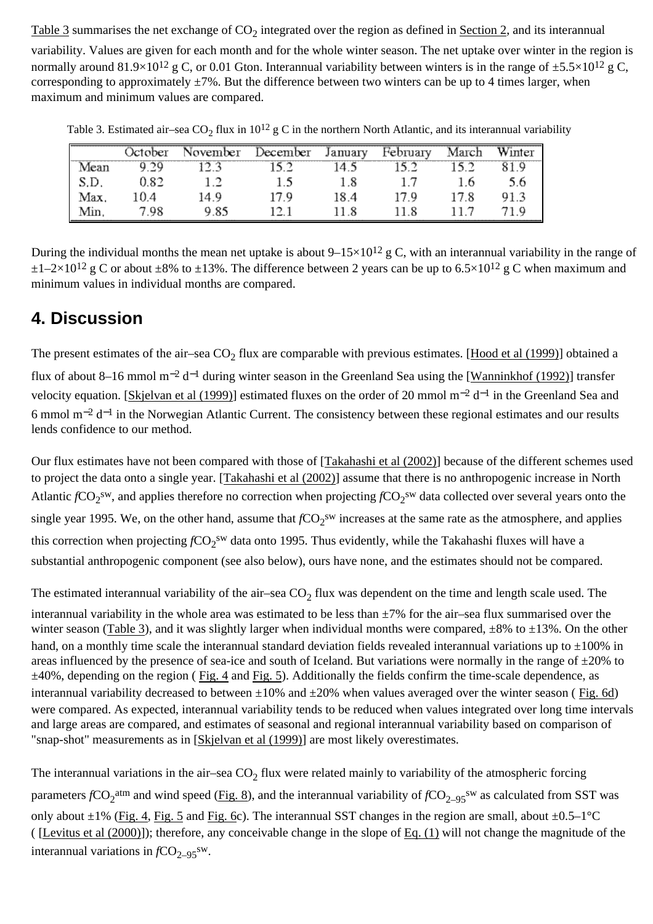[Table 3](#page-0-0) summarises the net exchange of  $CO<sub>2</sub>$  integrated over the region as defined in [Section 2,](#page-0-0) and its interannual

variability. Values are given for each month and for the whole winter season. The net uptake over winter in the region is normally around 81.9×10<sup>12</sup> g C, or 0.01 Gton. Interannual variability between winters is in the range of  $\pm$ 5.5×10<sup>12</sup> g C, corresponding to approximately  $\pm$ 7%. But the difference between two winters can be up to 4 times larger, when maximum and minimum values are compared.

|      | October | November | December | January | February | March | Winter |
|------|---------|----------|----------|---------|----------|-------|--------|
| Mean | 9.29    | 12.3     | 15.2     | 14.5    | 15.2     | 15.2  | 81.9   |
| S.D. | 0.82    | 1.2      | 1.5      | $1.8\,$ | 1.7      | 1.6   | 5.6    |
| Max. | 10.4    | 14.9     | 17.9     | 18.4    | 17.9     | 17.8  | 91.3   |
| Min. | 7.98    | 9.85     | 12.1     | 11.8    | 11.8     | 11.7  | 71.9   |

Table 3. Estimated air–sea  $CO_2$  flux in  $10^{12}$  g C in the northern North Atlantic, and its interannual variability

During the individual months the mean net uptake is about  $9-15\times10^{12}$  g C, with an interannual variability in the range of  $\pm 1-2\times10^{12}$  g C or about  $\pm 8\%$  to  $\pm 13\%$ . The difference between 2 years can be up to 6.5×10<sup>12</sup> g C when maximum and minimum values in individual months are compared.

## **4. Discussion**

The present estimates of the air–sea  $CO<sub>2</sub>$  flux are comparable with previous estimates. [[Hood et al \(1999\)](#page-0-0)] obtained a flux of about 8–16 mmol m<sup>-2</sup> d<sup>-1</sup> during winter season in the Greenland Sea using the [[Wanninkhof \(1992\)\]](#page-0-0) transfer velocity equation. [[Skjelvan et al \(1999\)](#page-0-0)] estimated fluxes on the order of 20 mmol m−2 d−1 in the Greenland Sea and 6 mmol m−2 d−1 in the Norwegian Atlantic Current. The consistency between these regional estimates and our results lends confidence to our method.

Our flux estimates have not been compared with those of [[Takahashi et al \(2002\)\]](#page-0-0) because of the different schemes used to project the data onto a single year. [\[Takahashi et al \(2002\)\]](#page-0-0) assume that there is no anthropogenic increase in North Atlantic  $fCO_2^{sw}$ , and applies therefore no correction when projecting  $fCO_2^{sw}$  data collected over several years onto the single year 1995. We, on the other hand, assume that  $fCO_2$ <sup>sw</sup> increases at the same rate as the atmosphere, and applies this correction when projecting *f*CO<sub>2</sub><sup>sw</sup> data onto 1995. Thus evidently, while the Takahashi fluxes will have a substantial anthropogenic component (see also below), ours have none, and the estimates should not be compared.

The estimated interannual variability of the air–sea  $CO<sub>2</sub>$  flux was dependent on the time and length scale used. The interannual variability in the whole area was estimated to be less than ±7% for the air–sea flux summarised over the winter season [\(Table 3\)](#page-0-0), and it was slightly larger when individual months were compared,  $\pm 8\%$  to  $\pm 13\%$ . On the other hand, on a monthly time scale the interannual standard deviation fields revealed interannual variations up to  $\pm 100\%$  in areas influenced by the presence of sea-ice and south of Iceland. But variations were normally in the range of  $\pm 20\%$  to ±40%, depending on the region ( [Fig. 4](#page-0-0) and [Fig. 5\)](#page-0-0). Additionally the fields confirm the time-scale dependence, as interannual variability decreased to between  $\pm 10\%$  and  $\pm 20\%$  when values averaged over the winter season (Fig. 6d) were compared. As expected, interannual variability tends to be reduced when values integrated over long time intervals and large areas are compared, and estimates of seasonal and regional interannual variability based on comparison of "snap-shot" measurements as in [\[Skjelvan et al \(1999\)](#page-0-0)] are most likely overestimates.

The interannual variations in the air–sea  $CO<sub>2</sub>$  flux were related mainly to variability of the atmospheric forcing parameters  $fCO_2$ <sup>atm</sup> and wind speed ([Fig. 8\)](#page-0-0), and the interannual variability of  $fCO_{2-95}$ <sup>sw</sup> as calculated from SST was only about  $\pm 1$ % [\(Fig. 4, Fig. 5](#page-0-0) and [Fig. 6c](#page-0-0)). The interannual SST changes in the region are small, about  $\pm 0.5-1$ °C ( [[Levitus et al \(2000\)](#page-0-0)]); therefore, any conceivable change in the slope of [Eq. \(1\)](#page-0-0) will not change the magnitude of the interannual variations in  $fCO_{2-95}$ <sup>sw</sup>.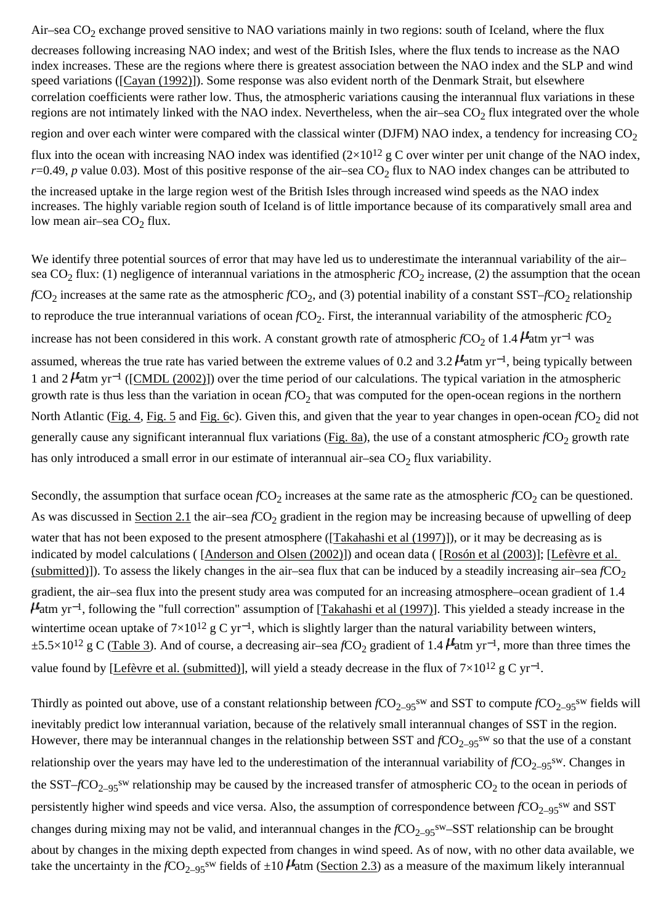Air–sea  $CO<sub>2</sub>$  exchange proved sensitive to NAO variations mainly in two regions: south of Iceland, where the flux

decreases following increasing NAO index; and west of the British Isles, where the flux tends to increase as the NAO index increases. These are the regions where there is greatest association between the NAO index and the SLP and wind speed variations ([[Cayan \(1992\)](#page-0-0)]). Some response was also evident north of the Denmark Strait, but elsewhere correlation coefficients were rather low. Thus, the atmospheric variations causing the interannual flux variations in these regions are not intimately linked with the NAO index. Nevertheless, when the air–sea  $CO<sub>2</sub>$  flux integrated over the whole

region and over each winter were compared with the classical winter (DJFM) NAO index, a tendency for increasing  $CO<sub>2</sub>$ 

flux into the ocean with increasing NAO index was identified  $(2\times10^{12} \text{ g C})$  over winter per unit change of the NAO index, *r*=0.49, *p* value 0.03). Most of this positive response of the air–sea CO<sub>2</sub> flux to NAO index changes can be attributed to

the increased uptake in the large region west of the British Isles through increased wind speeds as the NAO index increases. The highly variable region south of Iceland is of little importance because of its comparatively small area and low mean air–sea  $CO<sub>2</sub>$  flux.

We identify three potential sources of error that may have led us to underestimate the interannual variability of the air– sea CO<sub>2</sub> flux: (1) negligence of interannual variations in the atmospheric  $fCO_2$  increase, (2) the assumption that the ocean  $fCO<sub>2</sub>$  increases at the same rate as the atmospheric  $fCO<sub>2</sub>$ , and (3) potential inability of a constant SST– $fCO<sub>2</sub>$  relationship to reproduce the true interannual variations of ocean  $fCO_2$ . First, the interannual variability of the atmospheric  $fCO_2$ increase has not been considered in this work. A constant growth rate of atmospheric *f*CO<sub>2</sub> of 1.4 **µ**atm yr<sup>-1</sup> was assumed, whereas the true rate has varied between the extreme values of 0.2 and 3.2  $\mu$  atm yr<sup>-1</sup>, being typically between 1 and 2  $\mu$ <sup>4</sup>atm yr<sup>−1</sup> ([[CMDL \(2002\)\]](#page-0-0)) over the time period of our calculations. The typical variation in the atmospheric growth rate is thus less than the variation in ocean *f*CO<sub>2</sub> that was computed for the open-ocean regions in the northern North Atlantic [\(Fig. 4,](#page-0-0) [Fig. 5](#page-0-0) and [Fig. 6c](#page-0-0)). Given this, and given that the year to year changes in open-ocean *f*CO<sub>2</sub> did not generally cause any significant interannual flux variations [\(Fig. 8a\)](#page-0-0), the use of a constant atmospheric  $fCO_2$  growth rate has only introduced a small error in our estimate of interannual air–sea  $CO<sub>2</sub>$  flux variability.

Secondly, the assumption that surface ocean  $fCO_2$  increases at the same rate as the atmospheric  $fCO_2$  can be questioned. As was discussed in [Section 2.1](#page-0-0) the air–sea *f*CO<sub>2</sub> gradient in the region may be increasing because of upwelling of deep water that has not been exposed to the present atmosphere ([[Takahashi et al \(1997\)](#page-0-0)]), or it may be decreasing as is indicated by model calculations ( [\[Anderson and Olsen \(2002\)\]](#page-0-0)) and ocean data ( [\[Rosón et al \(2003\)\]](#page-0-0); [\[Lefèvre et al.](#page-0-0)  [\(submitted\)](#page-0-0)]). To assess the likely changes in the air–sea flux that can be induced by a steadily increasing air–sea  $fCO<sub>2</sub>$ gradient, the air–sea flux into the present study area was computed for an increasing atmosphere–ocean gradient of 1.4  $\mu$ atm yr<sup>-1</sup>, following the "full correction" assumption of [\[Takahashi et al \(1997\)\]](#page-0-0). This yielded a steady increase in the wintertime ocean uptake of  $7\times10^{12}$  g C yr<sup>-1</sup>, which is slightly larger than the natural variability between winters, ±5.5×10<sup>12</sup> g C ([Table 3](#page-0-0)). And of course, a decreasing air–sea *f*CO<sub>2</sub> gradient of 1.4 **µ**<sup>1</sup>, more than three times the value found by [\[Lefèvre et al. \(submitted\)](#page-0-0)], will yield a steady decrease in the flux of 7×10<sup>12</sup> g C yr<sup>-1</sup>.

Thirdly as pointed out above, use of a constant relationship between  $fCO_{2-95}$ <sup>sw</sup> and SST to compute  $fCO_{2-95}$ <sup>sw</sup> fields will inevitably predict low interannual variation, because of the relatively small interannual changes of SST in the region. However, there may be interannual changes in the relationship between SST and  $fCO_{2-95}$ <sup>sw</sup> so that the use of a constant relationship over the years may have led to the underestimation of the interannual variability of  $fCO_{2-95}$ <sup>sw</sup>. Changes in the SST– $fCO_{2-95}$ <sup>sw</sup> relationship may be caused by the increased transfer of atmospheric  $CO_2$  to the ocean in periods of persistently higher wind speeds and vice versa. Also, the assumption of correspondence between  $fCO_{2-95}$ <sup>sw</sup> and SST changes during mixing may not be valid, and interannual changes in the  $fCO_{2-95}$ <sup>sw</sup>–SST relationship can be brought about by changes in the mixing depth expected from changes in wind speed. As of now, with no other data available, we take the uncertainty in the  $fCO_{2-95}$ <sup>sw</sup> fields of  $\pm 10$   $\mu$  atm [\(Section 2.3](#page-0-0)) as a measure of the maximum likely interannual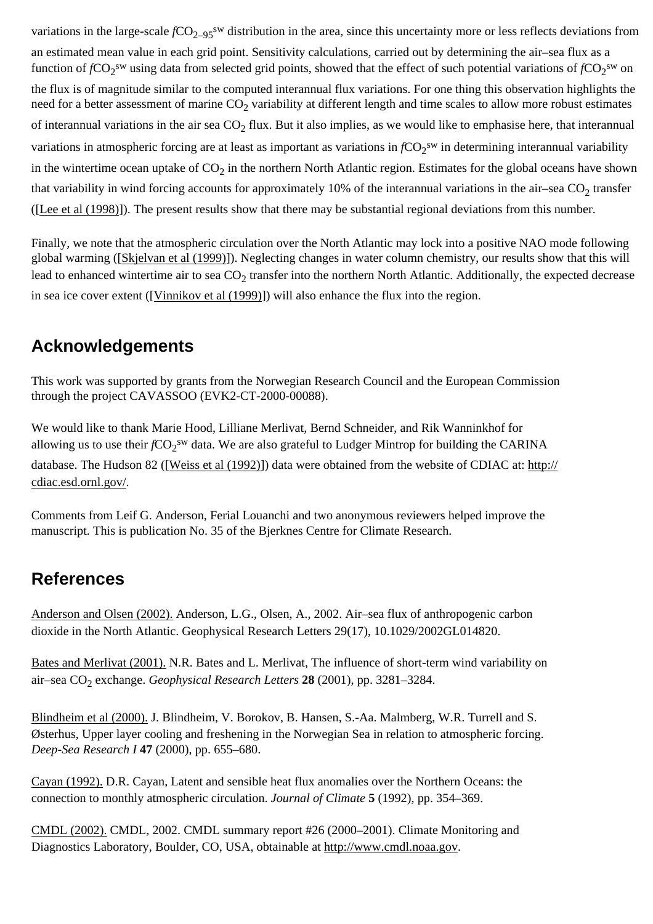variations in the large-scale  $fCO_{2-95}$ <sup>sw</sup> distribution in the area, since this uncertainty more or less reflects deviations from an estimated mean value in each grid point. Sensitivity calculations, carried out by determining the air–sea flux as a function of  $fCO_2$ <sup>sw</sup> using data from selected grid points, showed that the effect of such potential variations of  $fCO_2$ <sup>sw</sup> on the flux is of magnitude similar to the computed interannual flux variations. For one thing this observation highlights the need for a better assessment of marine  $CO<sub>2</sub>$  variability at different length and time scales to allow more robust estimates of interannual variations in the air sea  $CO<sub>2</sub>$  flux. But it also implies, as we would like to emphasise here, that interannual variations in atmospheric forcing are at least as important as variations in  $fCO_2$ <sup>sw</sup> in determining interannual variability in the wintertime ocean uptake of  $CO_2$  in the northern North Atlantic region. Estimates for the global oceans have shown that variability in wind forcing accounts for approximately 10% of the interannual variations in the air–sea  $CO<sub>2</sub>$  transfer ([\[Lee et al \(1998\)\]](#page-0-0)). The present results show that there may be substantial regional deviations from this number.

Finally, we note that the atmospheric circulation over the North Atlantic may lock into a positive NAO mode following global warming ([[Skjelvan et al \(1999\)](#page-0-0)]). Neglecting changes in water column chemistry, our results show that this will lead to enhanced wintertime air to sea  $CO<sub>2</sub>$  transfer into the northern North Atlantic. Additionally, the expected decrease in sea ice cover extent ([\[Vinnikov et al \(1999\)\]](#page-0-0)) will also enhance the flux into the region.

# **Acknowledgements**

This work was supported by grants from the Norwegian Research Council and the European Commission through the project CAVASSOO (EVK2-CT-2000-00088).

We would like to thank Marie Hood, Lilliane Merlivat, Bernd Schneider, and Rik Wanninkhof for allowing us to use their  $fCO_2$ <sup>sw</sup> data. We are also grateful to Ludger Mintrop for building the CARINA database. The Hudson 82 ([\[Weiss et al \(1992\)](#page-0-0)]) data were obtained from the website of CDIAC at: [http://](http://www.sciencedirect.com/science?_ob=RedirectURL&_method=externObjLink&_locator=url&_cdi=6034&_plusSign=%2B&_targetURL=http%253A%252F%252Fcdiac.esd.ornl.gov%252F) [cdiac.esd.ornl.gov/.](http://www.sciencedirect.com/science?_ob=RedirectURL&_method=externObjLink&_locator=url&_cdi=6034&_plusSign=%2B&_targetURL=http%253A%252F%252Fcdiac.esd.ornl.gov%252F)

Comments from Leif G. Anderson, Ferial Louanchi and two anonymous reviewers helped improve the manuscript. This is publication No. 35 of the Bjerknes Centre for Climate Research.

### **References**

[Anderson and Olsen \(2002\).](#page-0-0) Anderson, L.G., Olsen, A., 2002. Air–sea flux of anthropogenic carbon dioxide in the North Atlantic. Geophysical Research Letters 29(17), 10.1029/2002GL014820.

[Bates and Merlivat \(2001\).](#page-0-0) N.R. Bates and L. Merlivat, The influence of short-term wind variability on air–sea CO2 exchange. *Geophysical Research Letters* **28** (2001), pp. 3281–3284.

[Blindheim et al \(2000\).](#page-0-0) J. Blindheim, V. Borokov, B. Hansen, S.-Aa. Malmberg, W.R. Turrell and S. Østerhus, Upper layer cooling and freshening in the Norwegian Sea in relation to atmospheric forcing. *Deep-Sea Research I* **47** (2000), pp. 655–680.

[Cayan \(1992\).](#page-0-0) D.R. Cayan, Latent and sensible heat flux anomalies over the Northern Oceans: the connection to monthly atmospheric circulation. *Journal of Climate* **5** (1992), pp. 354–369.

[CMDL \(2002\).](#page-0-0) CMDL, 2002. CMDL summary report #26 (2000–2001). Climate Monitoring and Diagnostics Laboratory, Boulder, CO, USA, obtainable at [http://www.cmdl.noaa.gov](http://www.sciencedirect.com/science?_ob=RedirectURL&_method=externObjLink&_locator=url&_cdi=6034&_plusSign=%2B&_targetURL=http%253A%252F%252Fwww.cmdl.noaa.gov).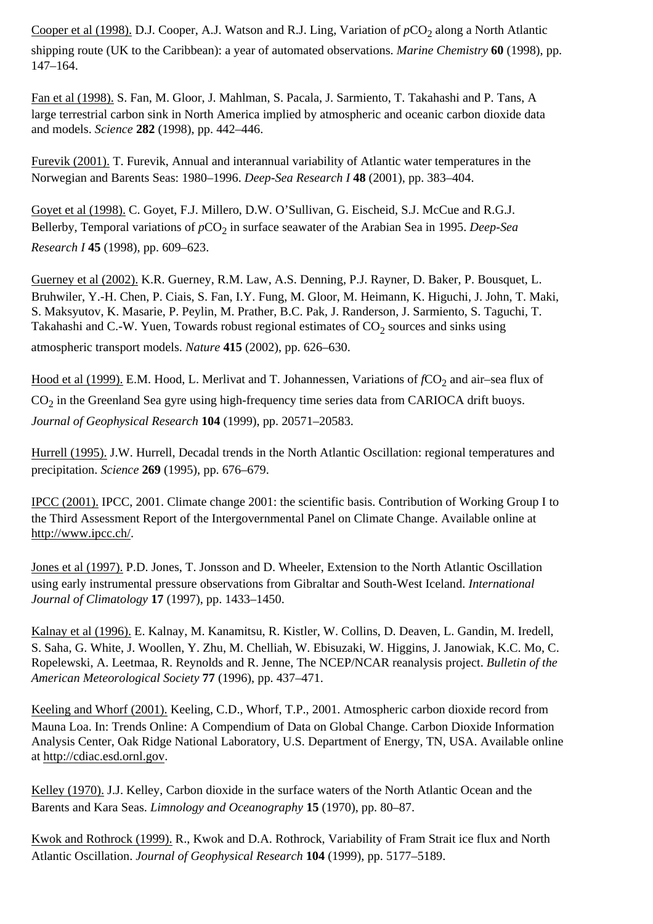[Cooper et al \(1998\).](#page-0-0) D.J. Cooper, A.J. Watson and R.J. Ling, Variation of  $pCO<sub>2</sub>$  along a North Atlantic

shipping route (UK to the Caribbean): a year of automated observations. *Marine Chemistry* **60** (1998), pp. 147–164.

[Fan et al \(1998\).](#page-0-0) S. Fan, M. Gloor, J. Mahlman, S. Pacala, J. Sarmiento, T. Takahashi and P. Tans, A large terrestrial carbon sink in North America implied by atmospheric and oceanic carbon dioxide data and models. *Science* **282** (1998), pp. 442–446.

[Furevik \(2001\).](#page-0-0) T. Furevik, Annual and interannual variability of Atlantic water temperatures in the Norwegian and Barents Seas: 1980–1996. *Deep-Sea Research I* **48** (2001), pp. 383–404.

[Goyet et al \(1998\).](#page-0-0) C. Goyet, F.J. Millero, D.W. O'Sullivan, G. Eischeid, S.J. McCue and R.G.J. Bellerby, Temporal variations of  $pCO<sub>2</sub>$  in surface seawater of the Arabian Sea in 1995. *Deep-Sea Research I* **45** (1998), pp. 609–623.

[Guerney et al \(2002\).](#page-0-0) K.R. Guerney, R.M. Law, A.S. Denning, P.J. Rayner, D. Baker, P. Bousquet, L. Bruhwiler, Y.-H. Chen, P. Ciais, S. Fan, I.Y. Fung, M. Gloor, M. Heimann, K. Higuchi, J. John, T. Maki, S. Maksyutov, K. Masarie, P. Peylin, M. Prather, B.C. Pak, J. Randerson, J. Sarmiento, S. Taguchi, T. Takahashi and C.-W. Yuen, Towards robust regional estimates of  $CO<sub>2</sub>$  sources and sinks using

atmospheric transport models. *Nature* **415** (2002), pp. 626–630.

[Hood et al \(1999\).](#page-0-0) E.M. Hood, L. Merlivat and T. Johannessen, Variations of *fCO*<sub>2</sub> and air–sea flux of  $CO<sub>2</sub>$  in the Greenland Sea gyre using high-frequency time series data from CARIOCA drift buoys. *Journal of Geophysical Research* **104** (1999), pp. 20571–20583.

[Hurrell \(1995\).](#page-0-0) J.W. Hurrell, Decadal trends in the North Atlantic Oscillation: regional temperatures and precipitation. *Science* **269** (1995), pp. 676–679.

[IPCC \(2001\).](#page-0-0) IPCC, 2001. Climate change 2001: the scientific basis. Contribution of Working Group I to the Third Assessment Report of the Intergovernmental Panel on Climate Change. Available online at [http://www.ipcc.ch/](http://www.sciencedirect.com/science?_ob=RedirectURL&_method=externObjLink&_locator=url&_cdi=6034&_plusSign=%2B&_targetURL=http%253A%252F%252Fwww.ipcc.ch%252F).

[Jones et al \(1997\).](#page-0-0) P.D. Jones, T. Jonsson and D. Wheeler, Extension to the North Atlantic Oscillation using early instrumental pressure observations from Gibraltar and South-West Iceland. *International Journal of Climatology* **17** (1997), pp. 1433–1450.

[Kalnay et al \(1996\).](#page-0-0) E. Kalnay, M. Kanamitsu, R. Kistler, W. Collins, D. Deaven, L. Gandin, M. Iredell, S. Saha, G. White, J. Woollen, Y. Zhu, M. Chelliah, W. Ebisuzaki, W. Higgins, J. Janowiak, K.C. Mo, C. Ropelewski, A. Leetmaa, R. Reynolds and R. Jenne, The NCEP/NCAR reanalysis project. *Bulletin of the American Meteorological Society* **77** (1996), pp. 437–471.

[Keeling and Whorf \(2001\).](#page-0-0) Keeling, C.D., Whorf, T.P., 2001. Atmospheric carbon dioxide record from Mauna Loa. In: Trends Online: A Compendium of Data on Global Change. Carbon Dioxide Information Analysis Center, Oak Ridge National Laboratory, U.S. Department of Energy, TN, USA. Available online at [http://cdiac.esd.ornl.gov](http://www.sciencedirect.com/science?_ob=RedirectURL&_method=externObjLink&_locator=url&_cdi=6034&_plusSign=%2B&_targetURL=http%253A%252F%252Fcdiac.esd.ornl.gov).

[Kelley \(1970\).](#page-0-0) J.J. Kelley, Carbon dioxide in the surface waters of the North Atlantic Ocean and the Barents and Kara Seas. *Limnology and Oceanography* **15** (1970), pp. 80–87.

[Kwok and Rothrock \(1999\).](#page-0-0) R., Kwok and D.A. Rothrock, Variability of Fram Strait ice flux and North Atlantic Oscillation. *Journal of Geophysical Research* **104** (1999), pp. 5177–5189.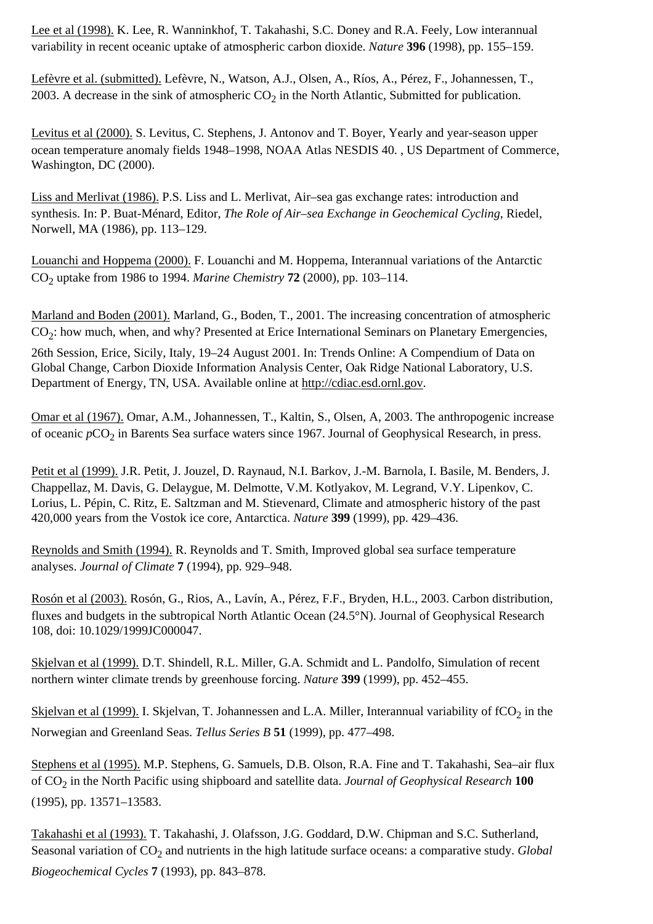[Lee et al \(1998\).](#page-0-0) K. Lee, R. Wanninkhof, T. Takahashi, S.C. Doney and R.A. Feely, Low interannual variability in recent oceanic uptake of atmospheric carbon dioxide. *Nature* **396** (1998), pp. 155–159.

[Lefèvre et al. \(submitted\).](#page-0-0) Lefèvre, N., Watson, A.J., Olsen, A., Ríos, A., Pérez, F., Johannessen, T., 2003. A decrease in the sink of atmospheric  $CO<sub>2</sub>$  in the North Atlantic, Submitted for publication.

[Levitus et al \(2000\).](#page-0-0) S. Levitus, C. Stephens, J. Antonov and T. Boyer, Yearly and year-season upper ocean temperature anomaly fields 1948–1998, NOAA Atlas NESDIS 40. , US Department of Commerce, Washington, DC (2000).

[Liss and Merlivat \(1986\).](#page-0-0) P.S. Liss and L. Merlivat, Air–sea gas exchange rates: introduction and synthesis. In: P. Buat-Ménard, Editor, *The Role of Air–sea Exchange in Geochemical Cycling*, Riedel, Norwell, MA (1986), pp. 113–129.

[Louanchi and Hoppema \(2000\).](#page-0-0) F. Louanchi and M. Hoppema, Interannual variations of the Antarctic CO2 uptake from 1986 to 1994. *Marine Chemistry* **72** (2000), pp. 103–114.

[Marland and Boden \(2001\).](#page-0-0) Marland, G., Boden, T., 2001. The increasing concentration of atmospheric  $CO<sub>2</sub>$ : how much, when, and why? Presented at Erice International Seminars on Planetary Emergencies,

26th Session, Erice, Sicily, Italy, 19–24 August 2001. In: Trends Online: A Compendium of Data on Global Change, Carbon Dioxide Information Analysis Center, Oak Ridge National Laboratory, U.S. Department of Energy, TN, USA. Available online at [http://cdiac.esd.ornl.gov](http://www.sciencedirect.com/science?_ob=RedirectURL&_method=externObjLink&_locator=url&_cdi=6034&_plusSign=%2B&_targetURL=http%253A%252F%252Fcdiac.esd.ornl.gov).

[Omar et al \(1967\).](#page-0-0) Omar, A.M., Johannessen, T., Kaltin, S., Olsen, A, 2003. The anthropogenic increase of oceanic  $pCO<sub>2</sub>$  in Barents Sea surface waters since 1967. Journal of Geophysical Research, in press.

[Petit et al \(1999\).](#page-0-0) J.R. Petit, J. Jouzel, D. Raynaud, N.I. Barkov, J.-M. Barnola, I. Basile, M. Benders, J. Chappellaz, M. Davis, G. Delaygue, M. Delmotte, V.M. Kotlyakov, M. Legrand, V.Y. Lipenkov, C. Lorius, L. Pépin, C. Ritz, E. Saltzman and M. Stievenard, Climate and atmospheric history of the past 420,000 years from the Vostok ice core, Antarctica. *Nature* **399** (1999), pp. 429–436.

[Reynolds and Smith \(1994\).](#page-0-0) R. Reynolds and T. Smith, Improved global sea surface temperature analyses. *Journal of Climate* **7** (1994), pp. 929–948.

[Rosón et al \(2003\).](#page-0-0) Rosón, G., Rios, A., Lavín, A., Pérez, F.F., Bryden, H.L., 2003. Carbon distribution, fluxes and budgets in the subtropical North Atlantic Ocean (24.5°N). Journal of Geophysical Research 108, doi: 10.1029/1999JC000047.

[Skjelvan et al \(1999\).](#page-0-0) D.T. Shindell, R.L. Miller, G.A. Schmidt and L. Pandolfo, Simulation of recent northern winter climate trends by greenhouse forcing. *Nature* **399** (1999), pp. 452–455.

[Skjelvan et al \(1999\).](#page-0-0) I. Skjelvan, T. Johannessen and L.A. Miller, Interannual variability of  $fCO<sub>2</sub>$  in the Norwegian and Greenland Seas. *Tellus Series B* **51** (1999), pp. 477–498.

[Stephens et al \(1995\).](#page-0-0) M.P. Stephens, G. Samuels, D.B. Olson, R.A. Fine and T. Takahashi, Sea–air flux of CO2 in the North Pacific using shipboard and satellite data. *Journal of Geophysical Research* **100** (1995), pp. 13571–13583.

[Takahashi et al \(1993\).](#page-0-0) T. Takahashi, J. Olafsson, J.G. Goddard, D.W. Chipman and S.C. Sutherland, Seasonal variation of CO<sub>2</sub> and nutrients in the high latitude surface oceans: a comparative study. *Global Biogeochemical Cycles* **7** (1993), pp. 843–878.